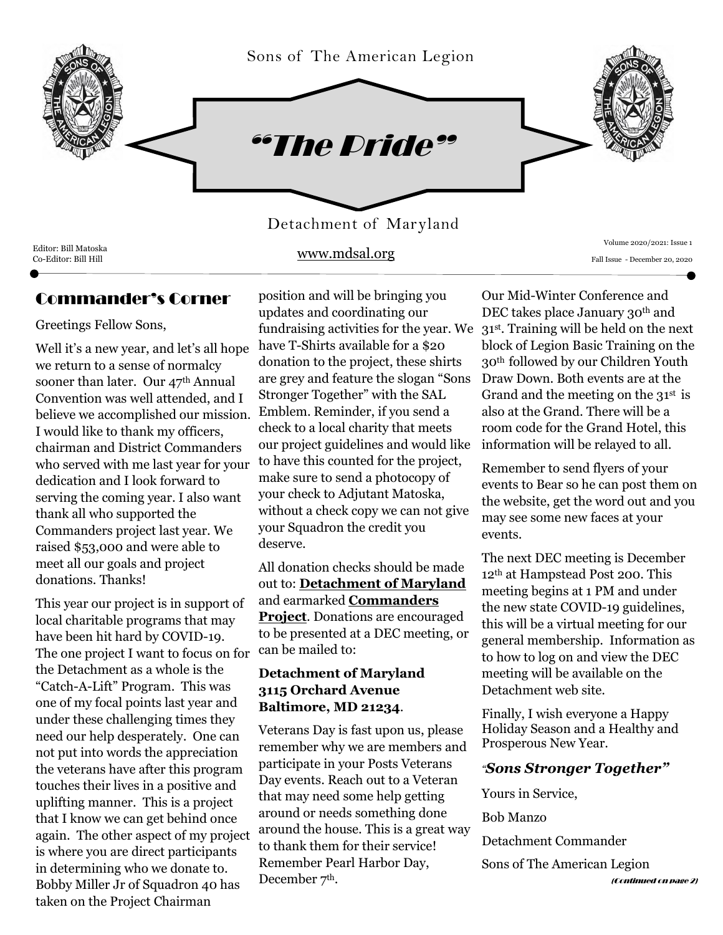

www.mdsal.org

Editor: Bill Matoska

## Commander's Corner

Greetings Fellow Sons,

Well it's a new year, and let's all hope we return to a sense of normalcy sooner than later. Our 47<sup>th</sup> Annual Convention was well attended, and I believe we accomplished our mission. I would like to thank my officers, chairman and District Commanders who served with me last year for your dedication and I look forward to serving the coming year. I also want thank all who supported the Commanders project last year. We raised \$53,000 and were able to meet all our goals and project donations. Thanks!

This year our project is in support of local charitable programs that may have been hit hard by COVID-19. The one project I want to focus on for the Detachment as a whole is the "Catch-A-Lift" Program. This was one of my focal points last year and under these challenging times they need our help desperately. One can not put into words the appreciation the veterans have after this program touches their lives in a positive and uplifting manner. This is a project that I know we can get behind once again. The other aspect of my project is where you are direct participants in determining who we donate to. Bobby Miller Jr of Squadron 40 has taken on the Project Chairman

position and will be bringing you updates and coordinating our have T-Shirts available for a \$20 donation to the project, these shirts are grey and feature the slogan "Sons Stronger Together" with the SAL Emblem. Reminder, if you send a check to a local charity that meets our project guidelines and would like to have this counted for the project, make sure to send a photocopy of your check to Adjutant Matoska, without a check copy we can not give your Squadron the credit you deserve.

All donation checks should be made out to: **Detachment of Maryland** and earmarked **Commanders Project**. Donations are encouraged to be presented at a DEC meeting, or can be mailed to:

### **Detachment of Maryland 3115 Orchard Avenue Baltimore, MD 21234**.

Veterans Day is fast upon us, please remember why we are members and participate in your Posts Veterans Day events. Reach out to a Veteran that may need some help getting around or needs something done around the house. This is a great way to thank them for their service! Remember Pearl Harbor Day, December 7<sup>th</sup>.

Volume 2020/2021: Issue 1 Fall Issue - December 20, 2020

fundraising activities for the year. We 31st. Training will be held on the next Our Mid-Winter Conference and DEC takes place January 30<sup>th</sup> and block of Legion Basic Training on the 30th followed by our Children Youth Draw Down. Both events are at the Grand and the meeting on the  $31<sup>st</sup>$  is also at the Grand. There will be a room code for the Grand Hotel, this information will be relayed to all.

> Remember to send flyers of your events to Bear so he can post them on the website, get the word out and you may see some new faces at your events.

The next DEC meeting is December 12th at Hampstead Post 200. This meeting begins at 1 PM and under the new state COVID-19 guidelines, this will be a virtual meeting for our general membership. Information as to how to log on and view the DEC meeting will be available on the Detachment web site.

Finally, I wish everyone a Happy Holiday Season and a Healthy and Prosperous New Year.

### *"Sons Stronger Together"*

Yours in Service,

Bob Manzo

Detachment Commander

Sons of The American Legion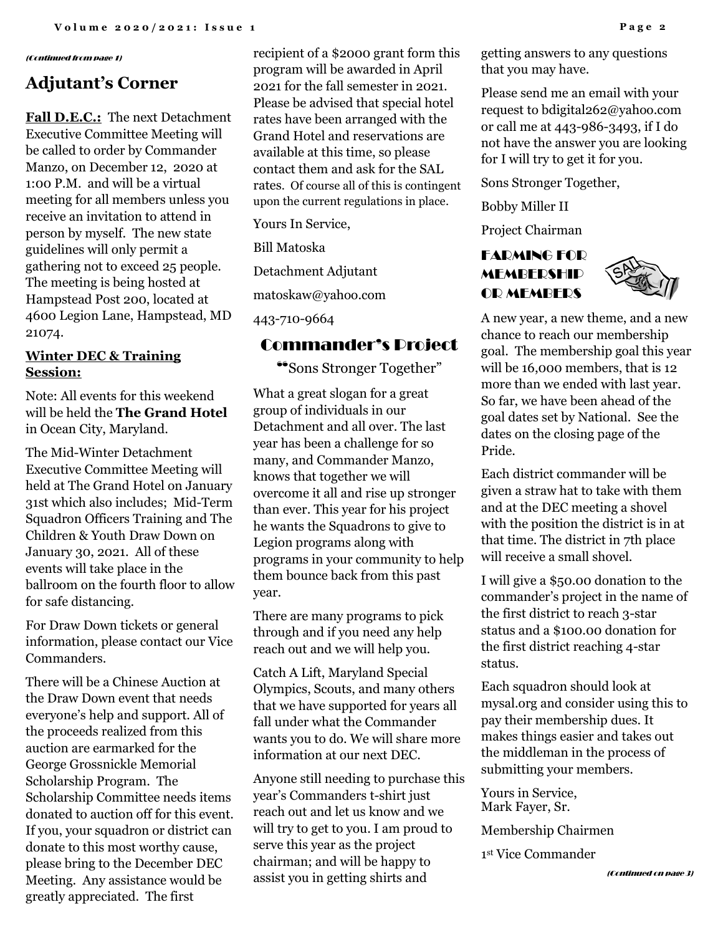#### (Continued from page 1)

# **Adjutant's Corner**

**Fall D.E.C.:** The next Detachment Executive Committee Meeting will be called to order by Commander Manzo, on December 12, 2020 at 1:00 P.M. and will be a virtual meeting for all members unless you receive an invitation to attend in person by myself. The new state guidelines will only permit a gathering not to exceed 25 people. The meeting is being hosted at Hampstead Post 200, located at 4600 Legion Lane, Hampstead, MD 21074.

### **Winter DEC & Training Session:**

Note: All events for this weekend will be held the **The Grand Hotel** in Ocean City, Maryland.

The Mid-Winter Detachment Executive Committee Meeting will held at The Grand Hotel on January 31st which also includes; Mid-Term Squadron Officers Training and The Children & Youth Draw Down on January 30, 2021. All of these events will take place in the ballroom on the fourth floor to allow for safe distancing.

For Draw Down tickets or general information, please contact our Vice Commanders.

There will be a Chinese Auction at the Draw Down event that needs everyone's help and support. All of the proceeds realized from this auction are earmarked for the George Grossnickle Memorial Scholarship Program. The Scholarship Committee needs items donated to auction off for this event. If you, your squadron or district can donate to this most worthy cause, please bring to the December DEC Meeting. Any assistance would be greatly appreciated. The first

recipient of a \$2000 grant form this program will be awarded in April 2021 for the fall semester in 2021. Please be advised that special hotel rates have been arranged with the Grand Hotel and reservations are available at this time, so please contact them and ask for the SAL rates. Of course all of this is contingent upon the current regulations in place.

Yours In Service,

Bill Matoska

Detachment Adjutant

matoskaw@yahoo.com

443-710-9664

### Commander's Project

"Sons Stronger Together"

What a great slogan for a great group of individuals in our Detachment and all over. The last year has been a challenge for so many, and Commander Manzo, knows that together we will overcome it all and rise up stronger than ever. This year for his project he wants the Squadrons to give to Legion programs along with programs in your community to help them bounce back from this past year.

There are many programs to pick through and if you need any help reach out and we will help you.

Catch A Lift, Maryland Special Olympics, Scouts, and many others that we have supported for years all fall under what the Commander wants you to do. We will share more information at our next DEC.

Anyone still needing to purchase this year's Commanders t-shirt just reach out and let us know and we will try to get to you. I am proud to serve this year as the project chairman; and will be happy to assist you in getting shirts and

getting answers to any questions that you may have.

Please send me an email with your request to bdigital262@yahoo.com or call me at 443-986-3493, if I do not have the answer you are looking for I will try to get it for you.

Sons Stronger Together,

Bobby Miller II

Project Chairman

### FARMING FOR **MEMBERSHIP** OR MEMBERS



A new year, a new theme, and a new chance to reach our membership goal. The membership goal this year will be 16,000 members, that is 12 more than we ended with last year. So far, we have been ahead of the goal dates set by National. See the dates on the closing page of the Pride.

Each district commander will be given a straw hat to take with them and at the DEC meeting a shovel with the position the district is in at that time. The district in 7th place will receive a small shovel.

I will give a \$50.00 donation to the commander's project in the name of the first district to reach 3-star status and a \$100.00 donation for the first district reaching 4-star status.

Each squadron should look at mysal.org and consider using this to pay their membership dues. It makes things easier and takes out the middleman in the process of submitting your members.

Yours in Service, Mark Fayer, Sr.

Membership Chairmen

1 st Vice Commander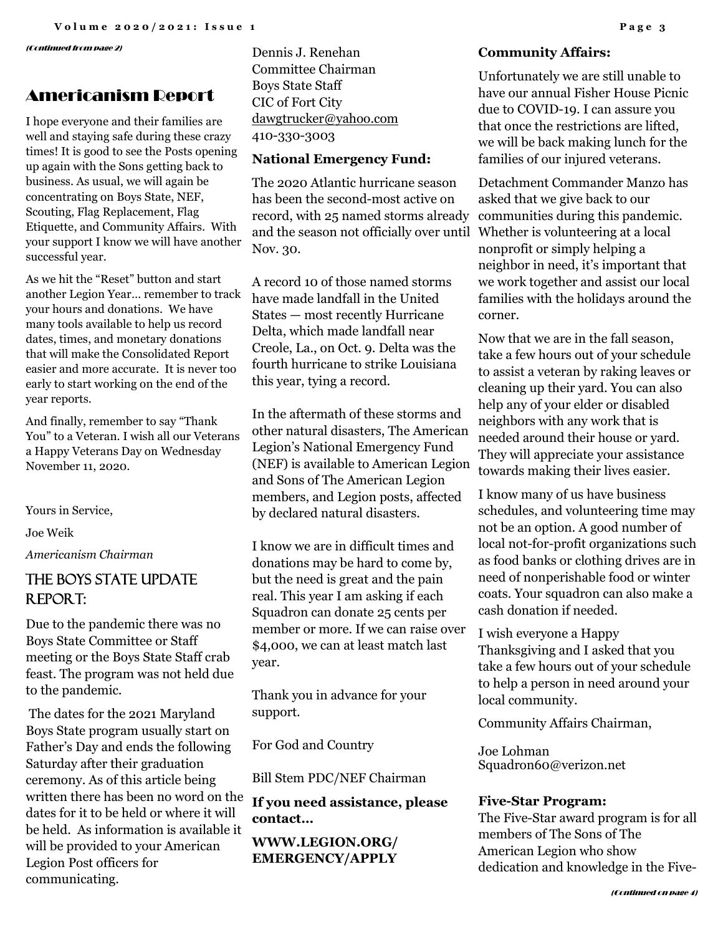(Continued from page 2)

## Americanism Report

I hope everyone and their families are well and staying safe during these crazy times! It is good to see the Posts opening up again with the Sons getting back to business. As usual, we will again be concentrating on Boys State, NEF, Scouting, Flag Replacement, Flag Etiquette, and Community Affairs. With your support I know we will have another successful year.

As we hit the "Reset" button and start another Legion Year… remember to track your hours and donations. We have many tools available to help us record dates, times, and monetary donations that will make the Consolidated Report easier and more accurate. It is never too early to start working on the end of the year reports.

And finally, remember to say "Thank You" to a Veteran. I wish all our Veterans a Happy Veterans Day on Wednesday November 11, 2020.

Yours in Service,

Joe Weik

*Americanism Chairman* 

# THE BOYS STATE UPDATE Report:

Due to the pandemic there was no Boys State Committee or Staff meeting or the Boys State Staff crab feast. The program was not held due to the pandemic.

The dates for the 2021 Maryland Boys State program usually start on Father's Day and ends the following Saturday after their graduation ceremony. As of this article being written there has been no word on the dates for it to be held or where it will be held. As information is available it will be provided to your American Legion Post officers for communicating.

Dennis J. Renehan Committee Chairman Boys State Staff CIC of Fort City [dawgtrucker@yahoo.com](mailto:dawgtrucker@yahoo.com) 410-330-3003

### **National Emergency Fund:**

The 2020 Atlantic hurricane season has been the second-most active on record, with 25 named storms already and the season not officially over until Whether is volunteering at a local Nov. 30.

A record 10 of those named storms have made landfall in the United States — most recently Hurricane Delta, which made landfall near Creole, La., on Oct. 9. Delta was the fourth hurricane to strike Louisiana this year, tying a record.

In the aftermath of these storms and other natural disasters, The American Legion's National Emergency Fund (NEF) is available to American Legion and Sons of The American Legion members, and Legion posts, affected by declared natural disasters.

I know we are in difficult times and donations may be hard to come by, but the need is great and the pain real. This year I am asking if each Squadron can donate 25 cents per member or more. If we can raise over \$4,000, we can at least match last year.

Thank you in advance for your support.

For God and Country

Bill Stem PDC/NEF Chairman

**If you need assistance, please contact…**

**WWW.LEGION.ORG/ EMERGENCY/APPLY**

#### **Community Affairs:**

Unfortunately we are still unable to have our annual Fisher House Picnic due to COVID-19. I can assure you that once the restrictions are lifted, we will be back making lunch for the families of our injured veterans.

Detachment Commander Manzo has asked that we give back to our communities during this pandemic. nonprofit or simply helping a neighbor in need, it's important that we work together and assist our local families with the holidays around the corner.

Now that we are in the fall season, take a few hours out of your schedule to assist a veteran by raking leaves or cleaning up their yard. You can also help any of your elder or disabled neighbors with any work that is needed around their house or yard. They will appreciate your assistance towards making their lives easier.

I know many of us have business schedules, and volunteering time may not be an option. A good number of local not-for-profit organizations such as food banks or clothing drives are in need of nonperishable food or winter coats. Your squadron can also make a cash donation if needed.

I wish everyone a Happy Thanksgiving and I asked that you take a few hours out of your schedule to help a person in need around your local community.

Community Affairs Chairman,

Joe Lohman Squadron60@verizon.net

#### **Five-Star Program:**

The Five-Star award program is for all members of The Sons of The American Legion who show dedication and knowledge in the Five-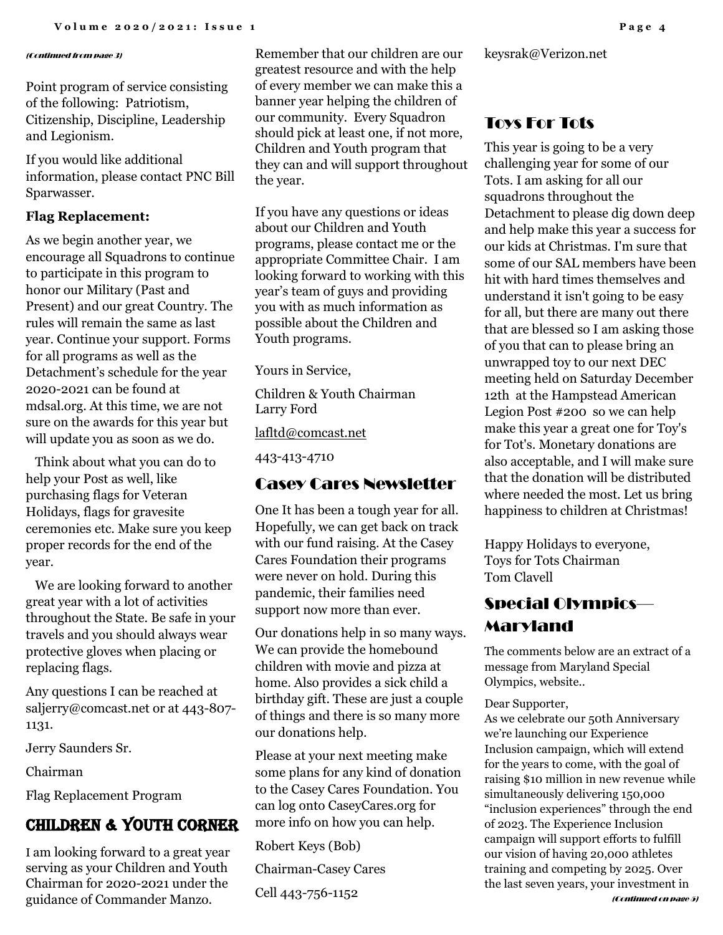#### (Continued from page 3)

Point program of service consisting of the following: Patriotism, Citizenship, Discipline, Leadership and Legionism.

If you would like additional information, please contact PNC Bill Sparwasser.

#### **Flag Replacement:**

As we begin another year, we encourage all Squadrons to continue to participate in this program to honor our Military (Past and Present) and our great Country. The rules will remain the same as last year. Continue your support. Forms for all programs as well as the Detachment's schedule for the year 2020-2021 can be found at mdsal.org. At this time, we are not sure on the awards for this year but will update you as soon as we do.

 Think about what you can do to help your Post as well, like purchasing flags for Veteran Holidays, flags for gravesite ceremonies etc. Make sure you keep proper records for the end of the year.

 We are looking forward to another great year with a lot of activities throughout the State. Be safe in your travels and you should always wear protective gloves when placing or replacing flags.

Any questions I can be reached at saljerry@comcast.net or at 443-807- 1131.

Jerry Saunders Sr.

Chairman

Flag Replacement Program

# Children & Youth Corner

I am looking forward to a great year serving as your Children and Youth Chairman for 2020-2021 under the guidance of Commander Manzo.

Remember that our children are our greatest resource and with the help of every member we can make this a banner year helping the children of our community. Every Squadron should pick at least one, if not more, Children and Youth program that they can and will support throughout the year.

If you have any questions or ideas about our Children and Youth programs, please contact me or the appropriate Committee Chair. I am looking forward to working with this year's team of guys and providing you with as much information as possible about the Children and Youth programs.

Yours in Service,

Children & Youth Chairman Larry Ford

[lafltd@comcast.net](mailto:lafltd@comcast.net)

443-413-4710

### Casey Cares Newsletter

One It has been a tough year for all. Hopefully, we can get back on track with our fund raising. At the Casey Cares Foundation their programs were never on hold. During this pandemic, their families need support now more than ever.

Our donations help in so many ways. We can provide the homebound children with movie and pizza at home. Also provides a sick child a birthday gift. These are just a couple of things and there is so many more our donations help.

Please at your next meeting make some plans for any kind of donation to the Casey Cares Foundation. You can log onto CaseyCares.org for more info on how you can help.

Robert Keys (Bob)

Chairman-Casey Cares

Cell 443-756-1152

keysrak@Verizon.net

## Toys For Tots

This year is going to be a very challenging year for some of our Tots. I am asking for all our squadrons throughout the Detachment to please dig down deep and help make this year a success for our kids at Christmas. I'm sure that some of our SAL members have been hit with hard times themselves and understand it isn't going to be easy for all, but there are many out there that are blessed so I am asking those of you that can to please bring an unwrapped toy to our next DEC meeting held on Saturday December 12th at the Hampstead American Legion Post #200 so we can help make this year a great one for Toy's for Tot's. Monetary donations are also acceptable, and I will make sure that the donation will be distributed where needed the most. Let us bring happiness to children at Christmas!

Happy Holidays to everyone, Toys for Tots Chairman Tom Clavell

# Special Olympics— Maryland

The comments below are an extract of a message from Maryland Special Olympics, website..

Dear Supporter,

As we celebrate our 50th Anniversary we're launching our Experience Inclusion campaign, which will extend for the years to come, with the goal of raising \$10 million in new revenue while simultaneously delivering 150,000 "inclusion experiences" through the end of 2023. The Experience Inclusion campaign will support efforts to fulfill our vision of having 20,000 athletes training and competing by 2025. Over the last seven years, your investment in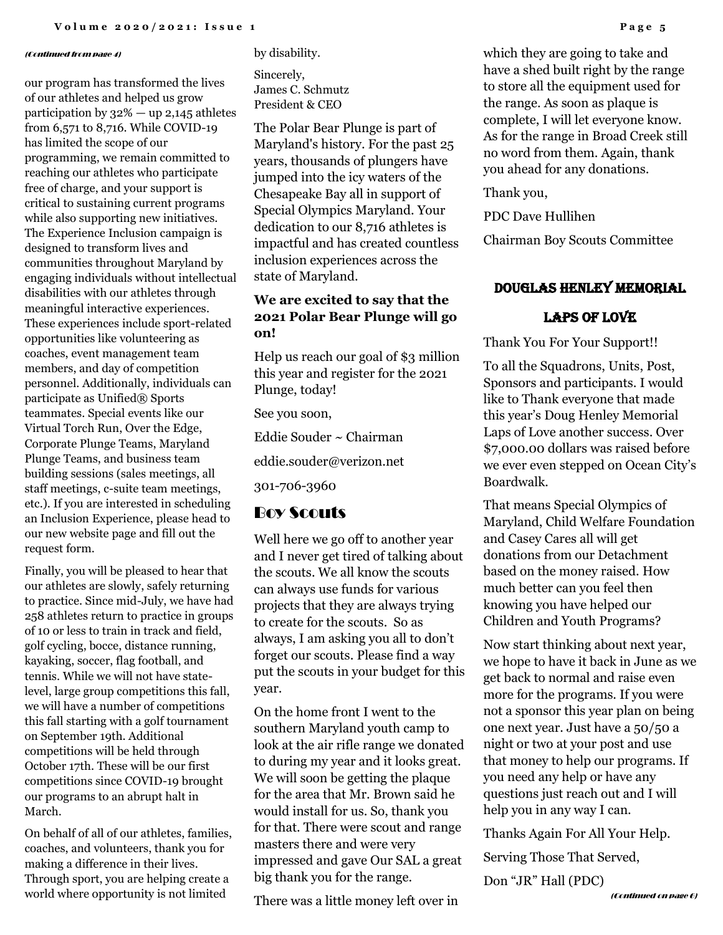#### (Continued from page 4)

our program has transformed the lives of our athletes and helped us grow participation by  $32\%$  — up 2,145 athletes from 6,571 to 8,716. While COVID-19 has limited the scope of our programming, we remain committed to reaching our athletes who participate free of charge, and your support is critical to sustaining current programs while also supporting new initiatives. The Experience Inclusion campaign is designed to transform lives and communities throughout Maryland by engaging individuals without intellectual disabilities with our athletes through meaningful interactive experiences. These experiences include sport-related opportunities like volunteering as coaches, event management team members, and day of competition personnel. Additionally, individuals can participate as Unified® Sports teammates. Special events like our Virtual Torch Run, Over the Edge, Corporate Plunge Teams, Maryland Plunge Teams, and business team building sessions (sales meetings, all staff meetings, c-suite team meetings, etc.). If you are interested in scheduling an Inclusion Experience, please head to our new website page and fill out the request form.

Finally, you will be pleased to hear that our athletes are slowly, safely returning to practice. Since mid-July, we have had 258 athletes return to practice in groups of 10 or less to train in track and field, golf cycling, bocce, distance running, kayaking, soccer, flag football, and tennis. While we will not have statelevel, large group competitions this fall, we will have a number of competitions this fall starting with a golf tournament on September 19th. Additional competitions will be held through October 17th. These will be our first competitions since COVID-19 brought our programs to an abrupt halt in March.

On behalf of all of our athletes, families, coaches, and volunteers, thank you for making a difference in their lives. Through sport, you are helping create a world where opportunity is not limited

by disability.

Sincerely, James C. Schmutz President & CEO

The Polar Bear Plunge is part of Maryland's history. For the past 25 years, thousands of plungers have jumped into the icy waters of the Chesapeake Bay all in support of Special Olympics Maryland. Your dedication to our 8,716 athletes is impactful and has created countless inclusion experiences across the state of Maryland.

### **We are excited to say that the 2021 Polar Bear Plunge will go on!**

Help us reach our goal of \$3 million this year and register for the 2021 Plunge, today!

See you soon,

Eddie Souder ~ Chairman

eddie.souder@verizon.net

301-706-3960

### Boy Scouts

Well here we go off to another year and I never get tired of talking about the scouts. We all know the scouts can always use funds for various projects that they are always trying to create for the scouts. So as always, I am asking you all to don't forget our scouts. Please find a way put the scouts in your budget for this year.

On the home front I went to the southern Maryland youth camp to look at the air rifle range we donated to during my year and it looks great. We will soon be getting the plaque for the area that Mr. Brown said he would install for us. So, thank you for that. There were scout and range masters there and were very impressed and gave Our SAL a great big thank you for the range.

There was a little money left over in

which they are going to take and have a shed built right by the range to store all the equipment used for the range. As soon as plaque is complete, I will let everyone know. As for the range in Broad Creek still no word from them. Again, thank you ahead for any donations.

#### Thank you,

PDC Dave Hullihen

Chairman Boy Scouts Committee

#### Douglas Henley Memorial

#### LAPS OF LOVE

Thank You For Your Support!!

To all the Squadrons, Units, Post, Sponsors and participants. I would like to Thank everyone that made this year's Doug Henley Memorial Laps of Love another success. Over \$7,000.00 dollars was raised before we ever even stepped on Ocean City's Boardwalk.

That means Special Olympics of Maryland, Child Welfare Foundation and Casey Cares all will get donations from our Detachment based on the money raised. How much better can you feel then knowing you have helped our Children and Youth Programs?

Now start thinking about next year, we hope to have it back in June as we get back to normal and raise even more for the programs. If you were not a sponsor this year plan on being one next year. Just have a 50/50 a night or two at your post and use that money to help our programs. If you need any help or have any questions just reach out and I will help you in any way I can.

Thanks Again For All Your Help.

Serving Those That Served,

Don "JR" Hall (PDC)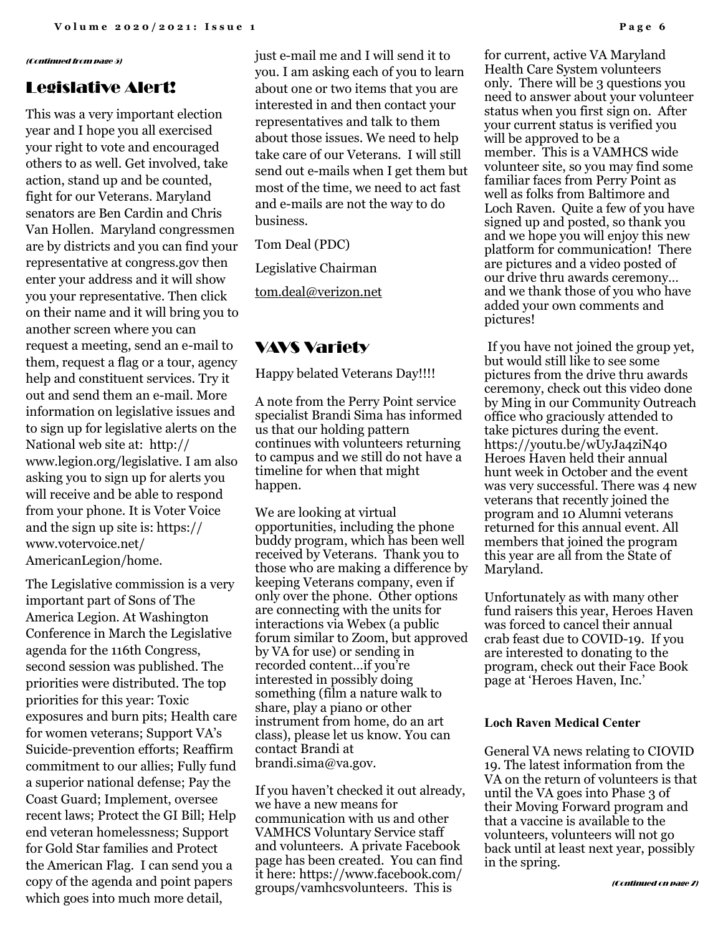#### (Continued from page 5)

### Legislative Alert!

This was a very important election year and I hope you all exercised your right to vote and encouraged others to as well. Get involved, take action, stand up and be counted, fight for our Veterans. Maryland senators are Ben Cardin and Chris Van Hollen. Maryland congressmen are by districts and you can find your representative at congress.gov then enter your address and it will show you your representative. Then click on their name and it will bring you to another screen where you can request a meeting, send an e-mail to them, request a flag or a tour, agency help and constituent services. Try it out and send them an e-mail. More information on legislative issues and to sign up for legislative alerts on the National web site at: http:// www.legion.org/legislative. I am also asking you to sign up for alerts you will receive and be able to respond from your phone. It is Voter Voice and the sign up site is: https:// www.votervoice.net/ AmericanLegion/home.

The Legislative commission is a very important part of Sons of The America Legion. At Washington Conference in March the Legislative agenda for the 116th Congress, second session was published. The priorities were distributed. The top priorities for this year: Toxic exposures and burn pits; Health care for women veterans; Support VA's Suicide-prevention efforts; Reaffirm commitment to our allies; Fully fund a superior national defense; Pay the Coast Guard; Implement, oversee recent laws; Protect the GI Bill; Help end veteran homelessness; Support for Gold Star families and Protect the American Flag. I can send you a copy of the agenda and point papers which goes into much more detail,

just e-mail me and I will send it to you. I am asking each of you to learn about one or two items that you are interested in and then contact your representatives and talk to them about those issues. We need to help take care of our Veterans. I will still send out e-mails when I get them but most of the time, we need to act fast and e-mails are not the way to do business.

Tom Deal (PDC)

Legislative Chairman

[tom.deal@verizon.net](mailto:tom.deal@verizon.net)

### VAVS Variety

Happy belated Veterans Day!!!!

A note from the Perry Point service specialist Brandi Sima has informed us that our holding pattern continues with volunteers returning to campus and we still do not have a timeline for when that might happen.

We are looking at virtual opportunities, including the phone buddy program, which has been well received by Veterans. Thank you to those who are making a difference by keeping Veterans company, even if only over the phone. Other options are connecting with the units for interactions via Webex (a public forum similar to Zoom, but approved by VA for use) or sending in recorded content…if you're interested in possibly doing something (film a nature walk to share, play a piano or other instrument from home, do an art class), please let us know. You can contact Brandi at brandi.sima@va.gov.

If you haven't checked it out already, we have a new means for communication with us and other VAMHCS Voluntary Service staff and volunteers. A private Facebook page has been created. You can find it here: https://www.facebook.com/ groups/vamhcsvolunteers. This is

for current, active VA Maryland Health Care System volunteers only. There will be 3 questions you need to answer about your volunteer status when you first sign on. After your current status is verified you will be approved to be a member. This is a VAMHCS wide volunteer site, so you may find some familiar faces from Perry Point as well as folks from Baltimore and Loch Raven. Quite a few of you have signed up and posted, so thank you and we hope you will enjoy this new platform for communication! There are pictures and a video posted of our drive thru awards ceremony… and we thank those of you who have added your own comments and pictures!

If you have not joined the group yet, but would still like to see some pictures from the drive thru awards ceremony, check out this video done by Ming in our Community Outreach office who graciously attended to take pictures during the event. https://youtu.be/wUyJa4ziN40 Heroes Haven held their annual hunt week in October and the event was very successful. There was 4 new veterans that recently joined the program and 10 Alumni veterans returned for this annual event. All members that joined the program this year are all from the State of Maryland.

Unfortunately as with many other fund raisers this year, Heroes Haven was forced to cancel their annual crab feast due to COVID-19. If you are interested to donating to the program, check out their Face Book page at 'Heroes Haven, Inc.'

#### **Loch Raven Medical Center**

General VA news relating to CIOVID 19. The latest information from the VA on the return of volunteers is that until the VA goes into Phase 3 of their Moving Forward program and that a vaccine is available to the volunteers, volunteers will not go back until at least next year, possibly in the spring.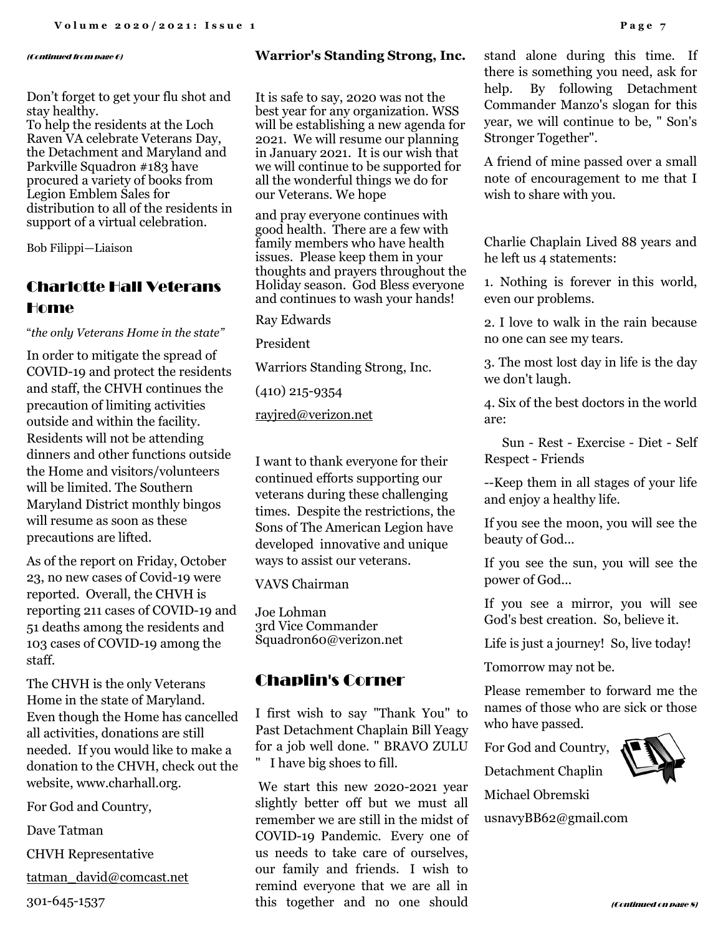#### (Continued from page 6)

Don't forget to get your flu shot and stay healthy.

To help the residents at the Loch Raven VA celebrate Veterans Day, the Detachment and Maryland and Parkville Squadron #183 have procured a variety of books from Legion Emblem Sales for distribution to all of the residents in support of a virtual celebration.

Bob Filippi—Liaison

# Charlotte Hall Veterans Home

"*the only Veterans Home in the state"*

In order to mitigate the spread of COVID-19 and protect the residents and staff, the CHVH continues the precaution of limiting activities outside and within the facility. Residents will not be attending dinners and other functions outside the Home and visitors/volunteers will be limited. The Southern Maryland District monthly bingos will resume as soon as these precautions are lifted.

As of the report on Friday, October 23, no new cases of Covid-19 were reported. Overall, the CHVH is reporting 211 cases of COVID-19 and 51 deaths among the residents and 103 cases of COVID-19 among the staff.

The CHVH is the only Veterans Home in the state of Maryland. Even though the Home has cancelled all activities, donations are still needed. If you would like to make a donation to the CHVH, check out the website, www.charhall.org.

For God and Country,

Dave Tatman

CHVH Representative

[tatman\\_david@comcast.net](mailto:tatman_david@comcast.net)

301-645-1537

#### **Warrior's Standing Strong, Inc.**

It is safe to say, 2020 was not the best year for any organization. WSS will be establishing a new agenda for 2021. We will resume our planning in January 2021. It is our wish that we will continue to be supported for all the wonderful things we do for our Veterans. We hope

and pray everyone continues with good health. There are a few with family members who have health issues. Please keep them in your thoughts and prayers throughout the Holiday season. God Bless everyone and continues to wash your hands!

Ray Edwards

President

Warriors Standing Strong, Inc.

(410) 215-9354

[rayjred@verizon.net](mailto:rayjred@verizon.net)

I want to thank everyone for their continued efforts supporting our veterans during these challenging times. Despite the restrictions, the Sons of The American Legion have developed innovative and unique ways to assist our veterans.

VAVS Chairman

Joe Lohman 3rd Vice Commander Squadron60@verizon.net

### Chaplin's Corner

I first wish to say "Thank You" to Past Detachment Chaplain Bill Yeagy for a job well done. " BRAVO ZULU " I have big shoes to fill.

We start this new 2020-2021 year slightly better off but we must all remember we are still in the midst of COVID-19 Pandemic. Every one of us needs to take care of ourselves, our family and friends. I wish to remind everyone that we are all in this together and no one should

stand alone during this time. If there is something you need, ask for help. By following Detachment Commander Manzo's slogan for this year, we will continue to be, " Son's Stronger Together".

A friend of mine passed over a small note of encouragement to me that I wish to share with you.

Charlie Chaplain Lived 88 years and he left us 4 statements:

1. Nothing is forever in this world, even our problems.

2. I love to walk in the rain because no one can see my tears.

3. The most lost day in life is the day we don't laugh.

4. Six of the best doctors in the world are:

Sun - Rest - Exercise - Diet - Self Respect - Friends

--Keep them in all stages of your life and enjoy a healthy life.

If you see the moon, you will see the beauty of God...

If you see the sun, you will see the power of God...

If you see a mirror, you will see God's best creation. So, believe it.

Life is just a journey! So, live today!

Tomorrow may not be.

Please remember to forward me the names of those who are sick or those who have passed.

For God and Country, Detachment Chaplin



Michael Obremski

usnavyBB62@gmail.com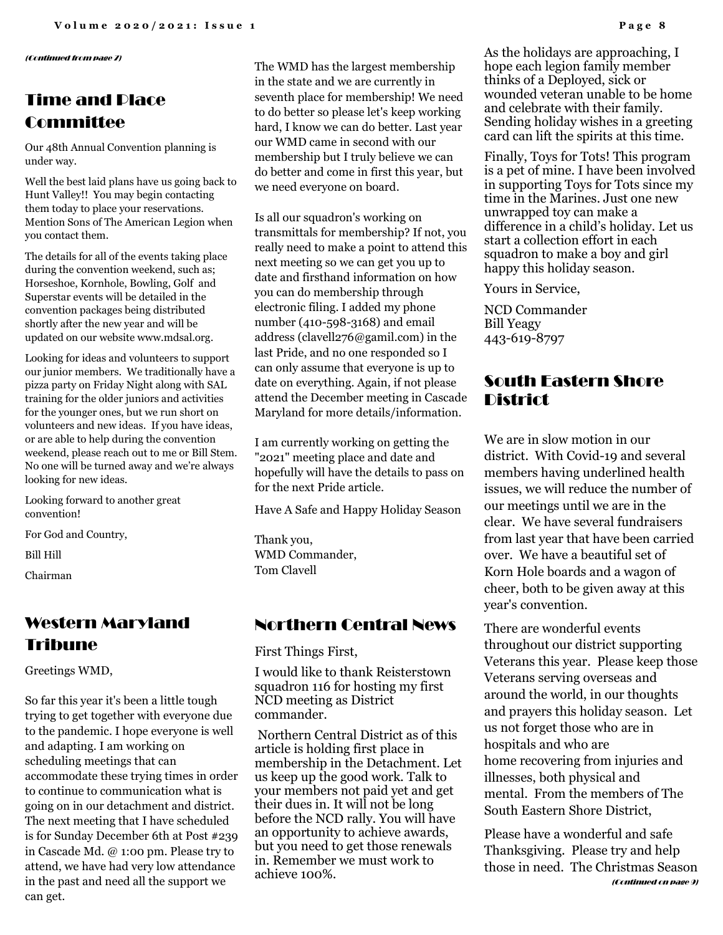(Continued from page 7)

# Time and Place Committee

Our 48th Annual Convention planning is under way.

Well the best laid plans have us going back to Hunt Valley!! You may begin contacting them today to place your reservations. Mention Sons of The American Legion when you contact them.

The details for all of the events taking place during the convention weekend, such as; Horseshoe, Kornhole, Bowling, Golf and Superstar events will be detailed in the convention packages being distributed shortly after the new year and will be updated on our website www.mdsal.org.

Looking for ideas and volunteers to support our junior members. We traditionally have a pizza party on Friday Night along with SAL training for the older juniors and activities for the younger ones, but we run short on volunteers and new ideas. If you have ideas, or are able to help during the convention weekend, please reach out to me or Bill Stem. No one will be turned away and we're always looking for new ideas.

Looking forward to another great convention!

For God and Country,

Bill Hill

Chairman

# Western Maryland Tribune

Greetings WMD,

So far this year it's been a little tough trying to get together with everyone due to the pandemic. I hope everyone is well and adapting. I am working on scheduling meetings that can accommodate these trying times in order to continue to communication what is going on in our detachment and district. The next meeting that I have scheduled is for Sunday December 6th at Post #239 in Cascade Md. @ 1:00 pm. Please try to attend, we have had very low attendance in the past and need all the support we can get.

The WMD has the largest membership in the state and we are currently in seventh place for membership! We need to do better so please let's keep working hard, I know we can do better. Last year our WMD came in second with our membership but I truly believe we can do better and come in first this year, but we need everyone on board.

Is all our squadron's working on transmittals for membership? If not, you really need to make a point to attend this next meeting so we can get you up to date and firsthand information on how you can do membership through electronic filing. I added my phone number (410-598-3168) and email address (clavell276@gamil.com) in the last Pride, and no one responded so I can only assume that everyone is up to date on everything. Again, if not please attend the December meeting in Cascade Maryland for more details/information.

I am currently working on getting the "2021" meeting place and date and hopefully will have the details to pass on for the next Pride article.

Have A Safe and Happy Holiday Season

Thank you, WMD Commander, Tom Clavell

### Northern Central News

First Things First,

I would like to thank Reisterstown squadron 116 for hosting my first NCD meeting as District commander.

Northern Central District as of this article is holding first place in membership in the Detachment. Let us keep up the good work. Talk to your members not paid yet and get their dues in. It will not be long before the NCD rally. You will have an opportunity to achieve awards, but you need to get those renewals in. Remember we must work to achieve 100%.

As the holidays are approaching, I hope each legion family member thinks of a Deployed, sick or wounded veteran unable to be home and celebrate with their family. Sending holiday wishes in a greeting card can lift the spirits at this time.

Finally, Toys for Tots! This program is a pet of mine. I have been involved in supporting Toys for Tots since my time in the Marines. Just one new unwrapped toy can make a difference in a child's holiday. Let us start a collection effort in each squadron to make a boy and girl happy this holiday season.

Yours in Service,

NCD Commander Bill Yeagy 443-619-8797

## South Eastern Shore District

We are in slow motion in our district. With Covid-19 and several members having underlined health issues, we will reduce the number of our meetings until we are in the clear. We have several fundraisers from last year that have been carried over. We have a beautiful set of Korn Hole boards and a wagon of cheer, both to be given away at this year's convention.

There are wonderful events throughout our district supporting Veterans this year. Please keep those Veterans serving overseas and around the world, in our thoughts and prayers this holiday season. Let us not forget those who are in hospitals and who are home recovering from injuries and illnesses, both physical and mental. From the members of The South Eastern Shore District,

Please have a wonderful and safe Thanksgiving. Please try and help those in need. The Christmas Season (Continued on page 9)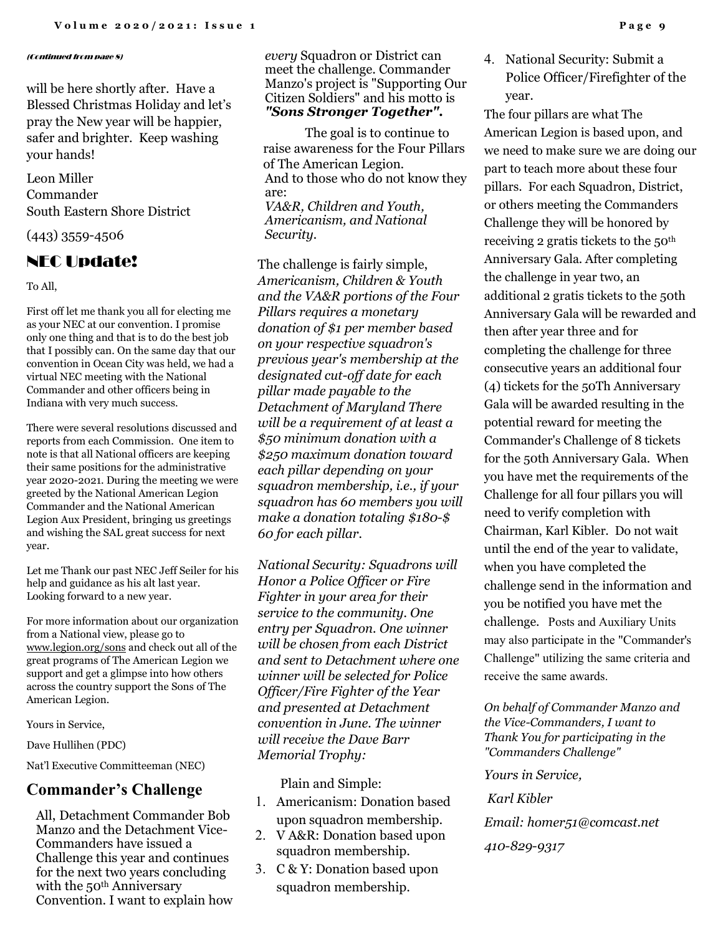#### (Continued from page 8)

will be here shortly after. Have a Blessed Christmas Holiday and let's pray the New year will be happier, safer and brighter. Keep washing your hands!

Leon Miller Commander South Eastern Shore District

(443) 3559-4506

### NEC Update!

To All,

First off let me thank you all for electing me as your NEC at our convention. I promise only one thing and that is to do the best job that I possibly can. On the same day that our convention in Ocean City was held, we had a virtual NEC meeting with the National Commander and other officers being in Indiana with very much success.

There were several resolutions discussed and reports from each Commission. One item to note is that all National officers are keeping their same positions for the administrative year 2020-2021. During the meeting we were greeted by the National American Legion Commander and the National American Legion Aux President, bringing us greetings and wishing the SAL great success for next year.

Let me Thank our past NEC Jeff Seiler for his help and guidance as his alt last year. Looking forward to a new year.

For more information about our organization from a National view, please go to [www.legion.org/sons](http://www.legion.org/sons) and check out all of the great programs of The American Legion we support and get a glimpse into how others across the country support the Sons of The American Legion.

Yours in Service,

Dave Hullihen (PDC)

Nat'l Executive Committeeman (NEC)

### **Commander's Challenge**

All, Detachment Commander Bob Manzo and the Detachment Vice-Commanders have issued a Challenge this year and continues for the next two years concluding with the 50<sup>th</sup> Anniversary Convention. I want to explain how *every* Squadron or District can meet the challenge. Commander Manzo's project is "Supporting Our Citizen Soldiers" and his motto is *"Sons Stronger Together".* 

The goal is to continue to raise awareness for the Four Pillars of The American Legion. And to those who do not know they are: *VA&R, Children and Youth, Americanism, and National Security.*

The challenge is fairly simple, *Americanism, Children & Youth and the VA&R portions of the Four Pillars requires a monetary donation of \$1 per member based on your respective squadron's previous year's membership at the designated cut-off date for each pillar made payable to the Detachment of Maryland There will be a requirement of at least a \$50 minimum donation with a \$250 maximum donation toward each pillar depending on your squadron membership, i.e., if your squadron has 60 members you will make a donation totaling \$180-\$ 60 for each pillar.* 

*National Security: Squadrons will Honor a Police Officer or Fire Fighter in your area for their service to the community. One entry per Squadron. One winner will be chosen from each District and sent to Detachment where one winner will be selected for Police Officer/Fire Fighter of the Year and presented at Detachment convention in June. The winner will receive the Dave Barr Memorial Trophy:*

Plain and Simple:

- 1. Americanism: Donation based upon squadron membership.
- 2. V A&R: Donation based upon squadron membership.
- 3. C & Y: Donation based upon squadron membership.

4. National Security: Submit a Police Officer/Firefighter of the year.

The four pillars are what The American Legion is based upon, and we need to make sure we are doing our part to teach more about these four pillars. For each Squadron, District, or others meeting the Commanders Challenge they will be honored by receiving 2 gratis tickets to the 50th Anniversary Gala. After completing the challenge in year two, an additional 2 gratis tickets to the 50th Anniversary Gala will be rewarded and then after year three and for completing the challenge for three consecutive years an additional four (4) tickets for the 50Th Anniversary Gala will be awarded resulting in the potential reward for meeting the Commander's Challenge of 8 tickets for the 50th Anniversary Gala. When you have met the requirements of the Challenge for all four pillars you will need to verify completion with Chairman, Karl Kibler. Do not wait until the end of the year to validate, when you have completed the challenge send in the information and you be notified you have met the challenge. Posts and Auxiliary Units may also participate in the "Commander's Challenge" utilizing the same criteria and receive the same awards.

*On behalf of Commander Manzo and the Vice-Commanders, I want to Thank You for participating in the "Commanders Challenge"* 

*Yours in Service,* 

*Karl Kibler* 

*Email: homer51@comcast.net 410-829-9317*